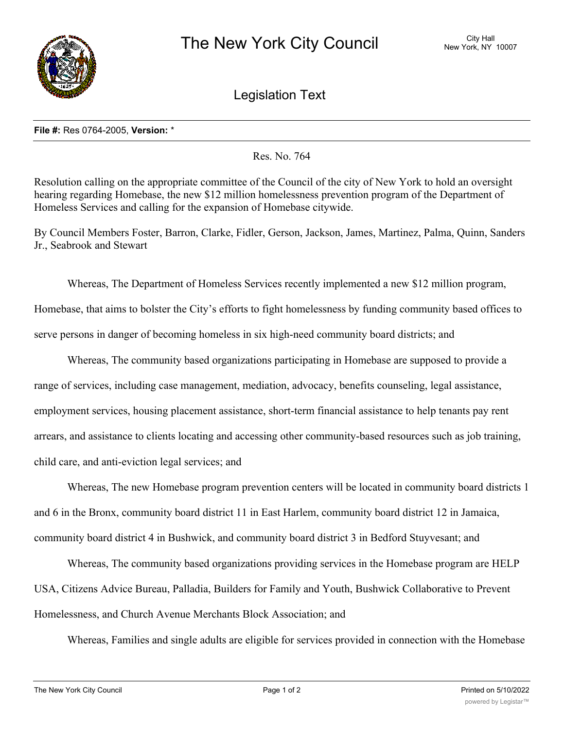

Legislation Text

## **File #:** Res 0764-2005, **Version:** \*

Res. No. 764

Resolution calling on the appropriate committee of the Council of the city of New York to hold an oversight hearing regarding Homebase, the new \$12 million homelessness prevention program of the Department of Homeless Services and calling for the expansion of Homebase citywide.

By Council Members Foster, Barron, Clarke, Fidler, Gerson, Jackson, James, Martinez, Palma, Quinn, Sanders Jr., Seabrook and Stewart

Whereas, The Department of Homeless Services recently implemented a new \$12 million program, Homebase, that aims to bolster the City's efforts to fight homelessness by funding community based offices to serve persons in danger of becoming homeless in six high-need community board districts; and

Whereas, The community based organizations participating in Homebase are supposed to provide a range of services, including case management, mediation, advocacy, benefits counseling, legal assistance, employment services, housing placement assistance, short-term financial assistance to help tenants pay rent arrears, and assistance to clients locating and accessing other community-based resources such as job training, child care, and anti-eviction legal services; and

Whereas, The new Homebase program prevention centers will be located in community board districts 1 and 6 in the Bronx, community board district 11 in East Harlem, community board district 12 in Jamaica, community board district 4 in Bushwick, and community board district 3 in Bedford Stuyvesant; and

Whereas, The community based organizations providing services in the Homebase program are HELP USA, Citizens Advice Bureau, Palladia, Builders for Family and Youth, Bushwick Collaborative to Prevent Homelessness, and Church Avenue Merchants Block Association; and

Whereas, Families and single adults are eligible for services provided in connection with the Homebase